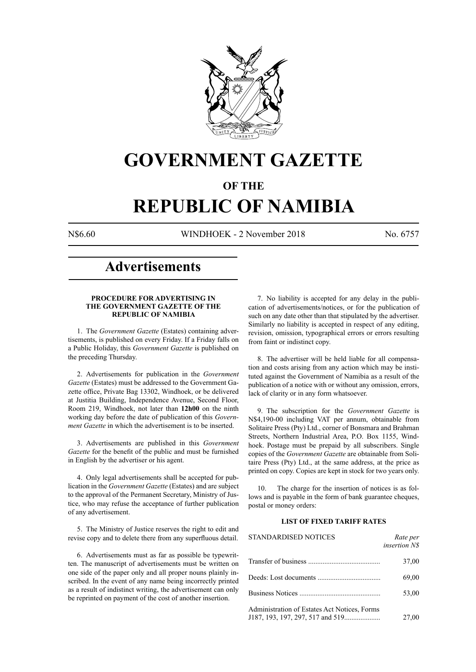

## **GOVERNMENT GAZETTE**

### **OF THE**

# **REPUBLIC OF NAMIBIA**

N\$6.60 WINDHOEK - 2 November 2018 No. 6757

### **Advertisements**

#### **PROCEDURE FOR ADVERTISING IN THE GOVERNMENT GAZETTE OF THE REPUBLIC OF NAMIBIA**

1. The *Government Gazette* (Estates) containing advertisements, is published on every Friday. If a Friday falls on a Public Holiday, this *Government Gazette* is published on the preceding Thursday.

2. Advertisements for publication in the *Government Gazette* (Estates) must be addressed to the Government Gazette office, Private Bag 13302, Windhoek, or be delivered at Justitia Building, Independence Avenue, Second Floor, Room 219, Windhoek, not later than **12h00** on the ninth working day before the date of publication of this *Government Gazette* in which the advertisement is to be inserted.

3. Advertisements are published in this *Government Gazette* for the benefit of the public and must be furnished in English by the advertiser or his agent.

4. Only legal advertisements shall be accepted for publication in the *Government Gazette* (Estates) and are subject to the approval of the Permanent Secretary, Ministry of Justice, who may refuse the acceptance of further publication of any advertisement.

5. The Ministry of Justice reserves the right to edit and revise copy and to delete there from any superfluous detail.

6. Advertisements must as far as possible be typewritten. The manuscript of advertisements must be written on one side of the paper only and all proper nouns plainly inscribed. In the event of any name being incorrectly printed as a result of indistinct writing, the advertisement can only be reprinted on payment of the cost of another insertion.

7. No liability is accepted for any delay in the publication of advertisements/notices, or for the publication of such on any date other than that stipulated by the advertiser. Similarly no liability is accepted in respect of any editing, revision, omission, typographical errors or errors resulting from faint or indistinct copy.

8. The advertiser will be held liable for all compensation and costs arising from any action which may be instituted against the Government of Namibia as a result of the publication of a notice with or without any omission, errors, lack of clarity or in any form whatsoever.

9. The subscription for the *Government Gazette* is N\$4,190-00 including VAT per annum, obtainable from Solitaire Press (Pty) Ltd., corner of Bonsmara and Brahman Streets, Northern Industrial Area, P.O. Box 1155, Windhoek. Postage must be prepaid by all subscribers. Single copies of the *Government Gazette* are obtainable from Solitaire Press (Pty) Ltd., at the same address, at the price as printed on copy. Copies are kept in stock for two years only.

10. The charge for the insertion of notices is as follows and is payable in the form of bank guarantee cheques, postal or money orders:

#### **LIST OF FIXED TARIFF RATES**

| <b>STANDARDISED NOTICES</b>                  | Rate per<br><i>insertion NS</i> |
|----------------------------------------------|---------------------------------|
|                                              | 37,00                           |
|                                              | 69,00                           |
|                                              | 53,00                           |
| Administration of Estates Act Notices, Forms | 27,00                           |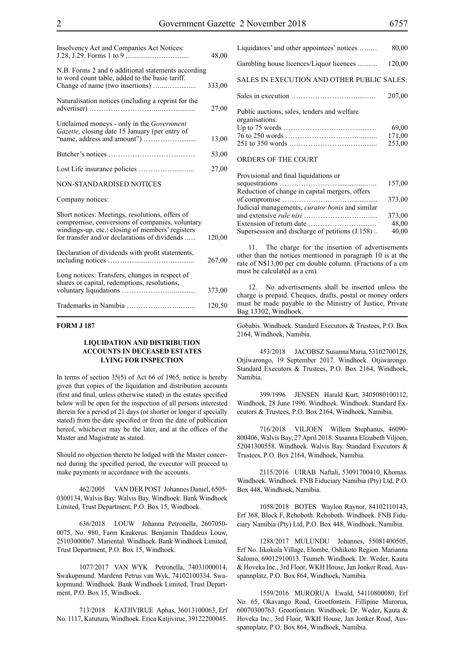| Insolvency Act and Companies Act Notices:                                                                                                                                                               | 48,00  |
|---------------------------------------------------------------------------------------------------------------------------------------------------------------------------------------------------------|--------|
| N.B. Forms 2 and 6 additional statements according<br>to word count table, added to the basic tariff.                                                                                                   | 333,00 |
| Naturalisation notices (including a reprint for the                                                                                                                                                     | 27,00  |
| Unclaimed moneys - only in the <i>Government</i><br>Gazette, closing date 15 January (per entry of                                                                                                      | 13,00  |
|                                                                                                                                                                                                         | 53,00  |
|                                                                                                                                                                                                         | 27,00  |
| NON-STANDARDISED NOTICES                                                                                                                                                                                |        |
| Company notices:                                                                                                                                                                                        |        |
| Short notices: Meetings, resolutions, offers of<br>compromise, conversions of companies, voluntary<br>windings-up, etc.: closing of members' registers<br>for transfer and/or declarations of dividends | 120,00 |
| Declaration of dividends with profit statements,                                                                                                                                                        | 267,00 |
| Long notices: Transfers, changes in respect of<br>shares or capital, redemptions, resolutions,                                                                                                          | 373,00 |
|                                                                                                                                                                                                         | 120,50 |

#### **FORM J 187**

#### **LIQUIDATION AND DISTRIBUTION ACCOUNTS IN DECEASED ESTATES LYING FOR INSPECTION**

In terms of section 35(5) of Act 66 of 1965, notice is hereby given that copies of the liquidation and distribution accounts (first and final, unless otherwise stated) in the estates specified below will be open for the inspection of all persons interested therein for a period of 21 days (or shorter or longer if specially stated) from the date specified or from the date of publication hereof, whichever may be the later, and at the offices of the Master and Magistrate as stated.

Should no objection thereto be lodged with the Master concerned during the specified period, the executor will proceed to make payments in accordance with the accounts.

462/2005 VAN DER POST Johannes Daniel, 6505- 0300134, Walvis Bay. Walvis Bay. Windhoek. Bank Windhoek Limited, Trust Department, P.O. Box 15, Windhoek.

636/2018 LOUW Johanna Petronella, 2607050- 0075, No. 980, Farm Kaukerus. Benjamin Thaddeus Louw, 25103000067. Mariental. Windhoek. Bank Windhoek Limited, Trust Department, P.O. Box 15, Windhoek.

1077/2017 VAN WYK Petronella, 74031000014, Swakopmund. Mardenn Petrus van Wyk, 74102100334. Swakopmund. Windhoek. Bank Windhoek Limited, Trust Department, P.O. Box 15, Windhoek.

713/2018 KATJIVIRUE Aphas, 36013100063, Erf No. 1117, Katutura, Windhoek. Erica Katjivirue, 39122200045.

| Liquidators' and other appointees' notices                    | 80,00  |
|---------------------------------------------------------------|--------|
| Gambling house licences/Liquor licences                       | 120,00 |
| SALES IN EXECUTION AND OTHER PUBLIC SALES:                    |        |
|                                                               | 207.00 |
| Public auctions, sales, tenders and welfare<br>organisations: |        |
|                                                               | 69,00  |
|                                                               | 171,00 |
| ORDERS OF THE COURT                                           | 253.00 |

| Provisional and final liquidations or                  |        |
|--------------------------------------------------------|--------|
|                                                        | 157,00 |
| Reduction of change in capital mergers, offers         |        |
|                                                        | 373,00 |
| Judicial managements, <i>curator bonis</i> and similar |        |
|                                                        | 373,00 |
|                                                        | 48,00  |
| Supersession and discharge of petitions (J.158)        | 40,00  |
|                                                        |        |

11. The charge for the insertion of advertisements other than the notices mentioned in paragraph 10 is at the rate of N\$13,00 per cm double column. (Fractions of a cm must be calculated as a cm).

12. No advertisements shall be inserted unless the charge is prepaid. Cheques, drafts, postal or money orders must be made payable to the Ministry of Justice, Private Bag 13302, Windhoek.

Gobabis. Windhoek. Standard Executors & Trustees, P.O. Box 2164, Windhoek, Namibia.

453/2018 JACOBSZ Susanna Maria, 53102700128, Otjiwarongo, 19 September 2017. Windhoek. Otjiwarongo. Standard Executors & Trustees, P.O. Box 2164, Windhoek, Namibia.

399/1996 JENSEN Harald Kurt, 3405080100112, Windhoek, 28 June 1996. Windhoek. Windhoek. Standard Executors & Trustees, P.O. Box 2164, Windhoek, Namibia.

716/2018 VILJOEN Willem Stephanus, 46090- 800406, Walvis Bay, 27 April 2018. Susanna Elizabeth Viljoen, 52041300558. Windhoek. Walvis Bay. Standard Executors & Trustees, P.O. Box 2164, Windhoek, Namibia.

2115/2016 UIRAB Naftali, 53091700410, Khomas. Windhoek. Windhoek. FNB Fiduciary Namibia (Pty) Ltd, P.O. Box 448, Windhoek, Namibia.

1058/2018 BOTES Waylon Raynor, 84102110143, Erf 368, Block F, Rehoboth. Rehoboth. Windhoek. FNB Fiduciary Namibia (Pty) Ltd, P.O. Box 448, Windhoek, Namibia.

1288/2017 MULUNDU Johannes, 55081400505, Erf No. Iikokola Village, Elombe, Oshikoto Region. Marianna Salomo, 69012910013. Tsumeb. Windhoek. Dr. Weder, Kauta & Hoveka Inc., 3rd Floor, WKH House, Jan Jonker Road, Ausspannplatz, P.O. Box 864, Windhoek, Namibia.

1559/2016 MURORUA Ewald, 54110800080, Erf No. 65, Okavango Road, Grootfontein. Fillipine Murorua, 60070300763. Grootfontein. Windhoek. Dr. Weder, Kauta & Hoveka Inc., 3rd Floor, WKH House, Jan Jonker Road, Ausspannplatz, P.O. Box 864, Windhoek, Namibia.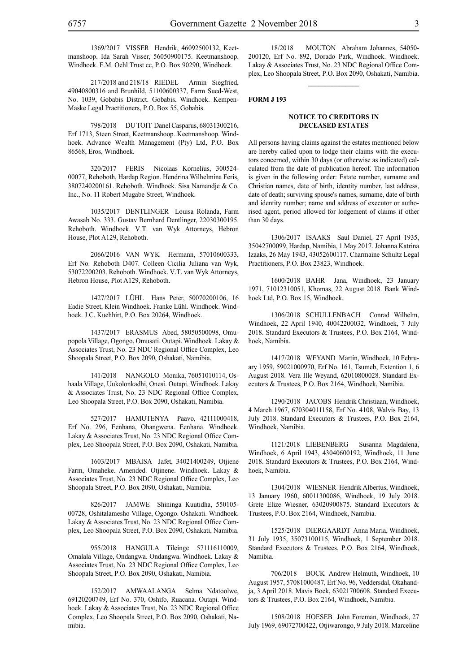1369/2017 VISSER Hendrik, 46092500132, Keetmanshoop. Ida Sarah Visser, 56050900175. Keetmanshoop. Windhoek. F.M. Oehl Trust cc, P.O. Box 90290, Windhoek.

217/2018 and 218/18 RIEDEL Armin Siegfried, 49040800316 and Brunhild, 51100600337, Farm Sued-West, No. 1039, Gobabis District. Gobabis. Windhoek. Kempen-Maske Legal Practitioners, P.O. Box 55, Gobabis.

798/2018 DU TOIT Danel Casparus, 68031300216, Erf 1713, Steen Street, Keetmanshoop. Keetmanshoop. Windhoek. Advance Wealth Management (Pty) Ltd, P.O. Box 86568, Eros, Windhoek.

320/2017 FERIS Nicolaas Kornelius, 300524- 00077, Rehoboth, Hardap Region. Hendrina Wilhelmina Feris, 3807240200161. Rehoboth. Windhoek. Sisa Namandje & Co. Inc., No. 11 Robert Mugabe Street, Windhoek.

1035/2017 DENTLINGER Louisa Rolanda, Farm Awasab No. 333. Gustav Bernhard Dentlinger, 22030300195. Rehoboth. Windhoek. V.T. van Wyk Attorneys, Hebron House, Plot A129, Rehoboth.

2066/2016 VAN WYK Hermann, 57010600333, Erf No. Rehoboth D407. Colleen Cicilia Juliana van Wyk, 53072200203. Rehoboth. Windhoek. V.T. van Wyk Attorneys, Hebron House, Plot A129, Rehoboth.

1427/2017 LÜHL Hans Peter, 50070200106, 16 Eadie Street, Klein Windhoek. Franke Lühl. Windhoek. Windhoek. J.C. Kuehhirt, P.O. Box 20264, Windhoek.

1437/2017 ERASMUS Abed, 58050500098, Omupopola Village, Ogongo, Omusati. Outapi. Windhoek. Lakay & Associates Trust, No. 23 NDC Regional Office Complex, Leo Shoopala Street, P.O. Box 2090, Oshakati, Namibia.

141/2018 nangolo Monika, 76051010114, Oshaala Village, Uukolonkadhi, Onesi. Outapi. Windhoek. Lakay & Associates Trust, No. 23 NDC Regional Office Complex, Leo Shoopala Street, P.O. Box 2090, Oshakati, Namibia.

527/2017 HAMUTENYA Paavo, 42111000418, Erf No. 296, Eenhana, Ohangwena. Eenhana. Windhoek. Lakay & Associates Trust, No. 23 NDC Regional Office Complex, Leo Shoopala Street, P.O. Box 2090, Oshakati, Namibia.

1603/2017 MBAISA Jafet, 34021400249, Otjiene Farm, Omaheke. Amended. Otjinene. Windhoek. Lakay & Associates Trust, No. 23 NDC Regional Office Complex, Leo Shoopala Street, P.O. Box 2090, Oshakati, Namibia.

826/2017 JAMWE Shininga Kuutidha, 550105- 00728, Oshitalamesho Village, Ogongo. Oshakati. Windhoek. Lakay & Associates Trust, No. 23 NDC Regional Office Complex, Leo Shoopala Street, P.O. Box 2090, Oshakati, Namibia.

955/2018 HANGULA Tileinge 571116110009, Omalala Village, Ondangwa. Ondangwa. Windhoek. Lakay & Associates Trust, No. 23 NDC Regional Office Complex, Leo Shoopala Street, P.O. Box 2090, Oshakati, Namibia.

152/2017 AMWAALANGA Selma Ndatoolwe, 69120200749, Erf No. 370, Oshifo, Ruacana. Outapi. Windhoek. Lakay & Associates Trust, No. 23 NDC Regional Office Complex, Leo Shoopala Street, P.O. Box 2090, Oshakati, Namibia.

18/2018 MOUTON Abraham Johannes, 54050- 200120, Erf No. 892, Dorado Park, Windhoek. Windhoek. Lakay & Associates Trust, No. 23 NDC Regional Office Complex, Leo Shoopala Street, P.O. Box 2090, Oshakati, Namibia.

#### **FORM J 193**

#### **NOTICE TO CREDITORS IN DECEASED ESTATES**

All persons having claims against the estates mentioned below are hereby called upon to lodge their claims with the executors concerned, within 30 days (or otherwise as indicated) calculated from the date of publication hereof. The information is given in the following order: Estate number, surname and Christian names, date of birth, identity number, last address, date of death; surviving spouse's names, surname, date of birth and identity number; name and address of executor or authorised agent, period allowed for lodgement of claims if other than 30 days.

1306/2017 ISAAKS Saul Daniel, 27 April 1935, 35042700099, Hardap, Namibia, 1 May 2017. Johanna Katrina Izaaks, 26 May 1943, 43052600117. Charmaine Schultz Legal Practitioners, P.O. Box 23823, Windhoek.

1600/2018 BAHR Jana, Windhoek, 23 January 1971, 71012310051, Khomas, 22 August 2018. Bank Windhoek Ltd, P.O. Box 15, Windhoek.

1306/2018 SCHULLENBACH Conrad Wilhelm, Windhoek, 22 April 1940, 40042200032, Windhoek, 7 July 2018. Standard Executors & Trustees, P.O. Box 2164, Windhoek, Namibia.

1417/2018 WEYAND Martin, Windhoek, 10 February 1959, 59021000970, Erf No. 161, Tsumeb, Extention 1, 6 August 2018. Vera Ille Weyand, 62010800028. Standard Executors & Trustees, P.O. Box 2164, Windhoek, Namibia.

1290/2018 JACOBS Hendrik Christiaan, Windhoek, 4 March 1967, 670304011158, Erf No. 4108, Walvis Bay, 13 July 2018. Standard Executors & Trustees, P.O. Box 2164, Windhoek, Namibia.

1121/2018 LIEBENBERG Susanna Magdalena, Windhoek, 6 April 1943, 43040600192, Windhoek, 11 June 2018. Standard Executors & Trustees, P.O. Box 2164, Windhoek, Namibia.

1304/2018 WIESNER Hendrik Albertus, Windhoek, 13 January 1960, 60011300086, Windhoek, 19 July 2018. Grete Elize Wiesner, 63020900875. Standard Executors & Trustees, P.O. Box 2164, Windhoek, Namibia.

1525/2018 DIERGAARDT Anna Maria, Windhoek, 31 July 1935, 35073100115, Windhoek, 1 September 2018. Standard Executors & Trustees, P.O. Box 2164, Windhoek, Namibia.

706/2018 BOCK Andrew Helmuth, Windhoek, 10 August 1957, 57081000487, Erf No. 96, Veddersdal, Okahandja, 3 April 2018. Mavis Bock, 63021700608. Standard Executors & Trustees, P.O. Box 2164, Windhoek, Namibia.

1508/2018 HOESEB John Foreman, Windhoek, 27 July 1969, 69072700422, Otjiwarongo, 9 July 2018. Marceline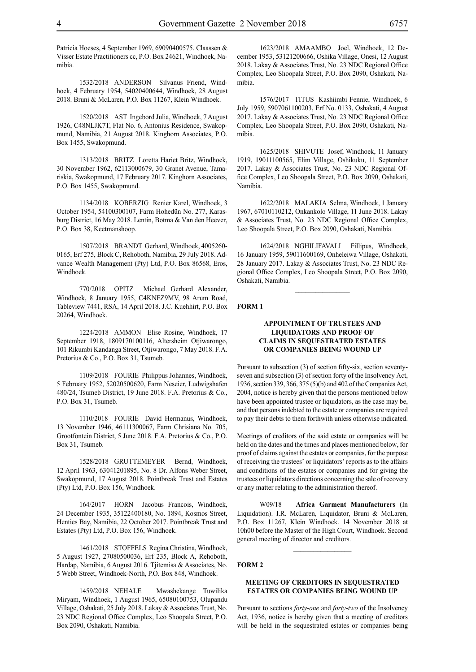Patricia Hoeses, 4 September 1969, 69090400575. Claassen & Visser Estate Practitioners cc, P.O. Box 24621, Windhoek, Namibia.

1532/2018 ANDERSON Silvanus Friend, Windhoek, 4 February 1954, 54020400644, Windhoek, 28 August 2018. Bruni & McLaren, P.O. Box 11267, Klein Windhoek.

1520/2018 AST Ingebord Julia, Windhoek, 7 August 1926, C48NLJK7T, Flat No. 6, Antonius Residence, Swakopmund, Namibia, 21 August 2018. Kinghorn Associates, P.O. Box 1455, Swakopmund.

1313/2018 BRITZ Loretta Hariet Britz, Windhoek, 30 November 1962, 62113000679, 30 Granet Avenue, Tamariskia, Swakopmund, 17 February 2017. Kinghorn Associates, P.O. Box 1455, Swakopmund.

1134/2018 KOBERZIG Renier Karel, Windhoek, 3 October 1954, 54100300107, Farm Hohedün No. 277, Karasburg District, 16 May 2018. Lentin, Botma & Van den Heever, P.O. Box 38, Keetmanshoop.

1507/2018 BRANDT Gerhard, Windhoek, 4005260- 0165, Erf 275, Block C, Rehoboth, Namibia, 29 July 2018. Advance Wealth Management (Pty) Ltd, P.O. Box 86568, Eros, Windhoek.

770/2018 OPITZ Michael Gerhard Alexander, Windhoek, 8 January 1955, C4KNFZ9MV, 98 Arum Road, Tableview 7441, RSA, 14 April 2018. J.C. Kuehhirt, P.O. Box 20264, Windhoek.

1224/2018 AMMON Elise Rosine, Windhoek, 17 September 1918, 1809170100116, Altersheim Otjiwarongo, 101 Rikumbi Kandanga Street, Otjiwarongo, 7 May 2018. F.A. Pretorius & Co., P.O. Box 31, Tsumeb.

1109/2018 FOURIE Philippus Johannes, Windhoek, 5 February 1952, 52020500620, Farm Neseier, Ludwigshafen 480/24, Tsumeb District, 19 June 2018. F.A. Pretorius & Co., P.O. Box 31, Tsumeb.

1110/2018 FOURIE David Hermanus, Windhoek, 13 November 1946, 46111300067, Farm Chrisiana No. 705, Grootfontein District, 5 June 2018. F.A. Pretorius & Co., P.O. Box 31, Tsumeb.

1528/2018 GRUTTEMEYER Bernd, Windhoek, 12 April 1963, 63041201895, No. 8 Dr. Alfons Weber Street, Swakopmund, 17 August 2018. Pointbreak Trust and Estates (Pty) Ltd, P.O. Box 156, Windhoek.

164/2017 HORN Jacobus Francois, Windhoek, 24 December 1935, 35122400180, No. 1894, Kosmos Street, Henties Bay, Namibia, 22 October 2017. Pointbreak Trust and Estates (Pty) Ltd, P.O. Box 156, Windhoek.

1461/2018 STOFFELS Regina Christina, Windhoek, 5 August 1927, 27080500036, Erf 235, Block A, Rehoboth, Hardap, Namibia, 6 August 2016. Tjitemisa & Associates, No. 5 Webb Street, Windhoek-North, P.O. Box 848, Windhoek.

1459/2018 NEHALE Mwashekange Tuwilika Miryam, Windhoek, 1 August 1965, 65080100753, Olupandu Village, Oshakati, 25 July 2018. Lakay & Associates Trust, No. 23 NDC Regional Office Complex, Leo Shoopala Street, P.O. Box 2090, Oshakati, Namibia.

1623/2018 AMAAMBO Joel, Windhoek, 12 December 1953, 53121200666, Oshika Village, Onesi, 12 August 2018. Lakay & Associates Trust, No. 23 NDC Regional Office Complex, Leo Shoopala Street, P.O. Box 2090, Oshakati, Namibia.

1576/2017 TITUS Kashiimbi Fennie, Windhoek, 6 July 1959, 5907061100203, Erf No. 0133, Oshakati, 4 August 2017. Lakay & Associates Trust, No. 23 NDC Regional Office Complex, Leo Shoopala Street, P.O. Box 2090, Oshakati, Namibia.

1625/2018 SHIVUTE Josef, Windhoek, 11 January 1919, 19011100565, Elim Village, Oshikuku, 11 September 2017. Lakay & Associates Trust, No. 23 NDC Regional Office Complex, Leo Shoopala Street, P.O. Box 2090, Oshakati, Namibia.

1622/2018 MALAKIA Selma, Windhoek, 1 January 1967, 67010110212, Onkankolo Village, 11 June 2018. Lakay & Associates Trust, No. 23 NDC Regional Office Complex, Leo Shoopala Street, P.O. Box 2090, Oshakati, Namibia.

1624/2018 NGHILIFAVALI Fillipus, Windhoek, 16 January 1959, 59011600169, Onheleiwa Village, Oshakati, 28 January 2017. Lakay & Associates Trust, No. 23 NDC Regional Office Complex, Leo Shoopala Street, P.O. Box 2090, Oshakati, Namibia.

 $\frac{1}{2}$ 

#### **FORM 1**

#### **APPOINTMENT OF TRUSTEES AND LIQUIDATORS AND PROOF OF CLAIMS IN SEQUESTRATED ESTATES OR COMPANIES BEING WOUND UP**

Pursuant to subsection (3) of section fifty-six, section seventyseven and subsection (3) of section forty of the Insolvency Act, 1936, section 339, 366, 375 (5)(b) and 402 of the Companies Act, 2004, notice is hereby given that the persons mentioned below have been appointed trustee or liquidators, as the case may be, and that persons indebted to the estate or companies are required to pay their debts to them forthwith unless otherwise indicated.

Meetings of creditors of the said estate or companies will be held on the dates and the times and places mentioned below, for proof of claims against the estates or companies, for the purpose of receiving the trustees' or liquidators' reports as to the affairs and conditions of the estates or companies and for giving the trustees or liquidators directions concerning the sale of recovery or any matter relating to the administration thereof.

W09/18 **Africa Garment Manufacturers** (In Liquidation). I.R. McLaren, Liquidator, Bruni & McLaren, P.O. Box 11267, Klein Windhoek. 14 November 2018 at 10h00 before the Master of the High Court, Windhoek. Second general meeting of director and creditors.

#### **FORM 2**

#### **MEETING OF CREDITORS IN SEQUESTRATED ESTATES OR COMPANIES BEING WOUND UP**

Pursuant to sections *forty-one* and *forty-two* of the Insolvency Act, 1936, notice is hereby given that a meeting of creditors will be held in the sequestrated estates or companies being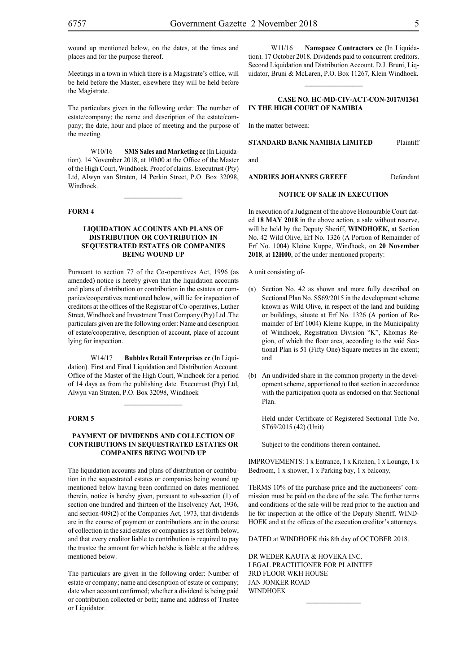Meetings in a town in which there is a Magistrate's office, will be held before the Master, elsewhere they will be held before the Magistrate.

The particulars given in the following order: The number of estate/company; the name and description of the estate/company; the date, hour and place of meeting and the purpose of the meeting.

W10/16 **SMS Sales and Marketing cc** (In Liquidation). 14 November 2018, at 10h00 at the Office of the Master of the High Court, Windhoek. Proof of claims. Executrust (Pty) Ltd, Alwyn van Straten, 14 Perkin Street, P.O. Box 32098, Windhoek.

 $\frac{1}{2}$ 

#### **FORM 4**

#### **LIQUIDATION ACCOUNTS AND PLANS OF DISTRIBUTION OR CONTRIBUTION IN SEQUESTRATED ESTATES OR COMPANIES BEING WOUND UP**

Pursuant to section 77 of the Co-operatives Act, 1996 (as amended) notice is hereby given that the liquidation accounts and plans of distribution or contribution in the estates or companies/cooperatives mentioned below, will lie for inspection of creditors at the offices of the Registrar of Co-operatives, Luther Street, Windhoek and Investment Trust Company (Pty) Ltd .The particulars given are the following order: Name and description of estate/cooperative, description of account, place of account lying for inspection.

W14/17 **Bubbles Retail Enterprises cc** (In Liquidation). First and Final Liquidation and Distribution Account. Office of the Master of the High Court, Windhoek for a period of 14 days as from the publishing date. Executrust (Pty) Ltd, Alwyn van Straten, P.O. Box 32098, Windhoek

#### **FORM 5**

#### **PAYMENT OF DIVIDENDS AND COLLECTION OF CONTRIBUTIONS IN SEQUESTRATED ESTATES OR COMPANIES BEING WOUND UP**

The liquidation accounts and plans of distribution or contribution in the sequestrated estates or companies being wound up mentioned below having been confirmed on dates mentioned therein, notice is hereby given, pursuant to sub-section (1) of section one hundred and thirteen of the Insolvency Act, 1936, and section 409(2) of the Companies Act, 1973, that dividends are in the course of payment or contributions are in the course of collection in the said estates or companies as set forth below, and that every creditor liable to contribution is required to pay the trustee the amount for which he/she is liable at the address mentioned below.

The particulars are given in the following order: Number of estate or company; name and description of estate or company; date when account confirmed; whether a dividend is being paid or contribution collected or both; name and address of Trustee or Liquidator.

W11/16 **Namspace Contractors cc** (In Liquidation). 17 October 2018. Dividends paid to concurrent creditors. Second Liquidation and Distribution Account. D.J. Bruni, Liquidator, Bruni & McLaren, P.O. Box 11267, Klein Windhoek.

#### **CASE NO. HC-MD-CIV-ACT-CON-2017/01361 IN THE HIGH COURT OF NAMIBIA**

In the matter between:

#### **STANDARD BANK NAMIBIA LIMITED** Plaintiff

and

#### **ANDRIES JOHANNES GREEFF Defendant**

#### **NOTICE OF SALE IN EXECUTION**

In execution of a Judgment of the above Honourable Court dated **18 MAY 2018** in the above action, a sale without reserve, will be held by the Deputy Sheriff, **WINDHOEK,** at Section No. 42 Wild Olive, Erf No. 1326 (A Portion of Remainder of Erf No. 1004) Kleine Kuppe, Windhoek, on **20 November 2018**, at **12H00**, of the under mentioned property:

A unit consisting of-

- (a) Section No. 42 as shown and more fully described on Sectional Plan No. SS69/2015 in the development scheme known as Wild Olive, in respect of the land and building or buildings, situate at Erf No. 1326 (A portion of Remainder of Erf 1004) Kleine Kuppe, in the Municipality of Windhoek, Registration Division "K", Khomas Region, of which the floor area, according to the said Sectional Plan is 51 (Fifty One) Square metres in the extent; and
- (b) An undivided share in the common property in the development scheme, apportioned to that section in accordance with the participation quota as endorsed on that Sectional Plan.

Held under Certificate of Registered Sectional Title No. ST69/2015 (42) (Unit)

Subject to the conditions therein contained.

IMPROVEMENTS: 1 x Entrance, 1 x Kitchen, 1 x Lounge, 1 x Bedroom, 1 x shower, 1 x Parking bay, 1 x balcony,

TERMS 10% of the purchase price and the auctioneers' commission must be paid on the date of the sale. The further terms and conditions of the sale will be read prior to the auction and lie for inspection at the office of the Deputy Sheriff, WIND-HOEK and at the offices of the execution creditor's attorneys.

DATED at WINDHOEK this 8th day of OCTOBER 2018.

 $\frac{1}{2}$ 

DR WEDER KAUTA & HOVEKA INC. Legal Practitioner for Plaintiff 3rd Floor WKH House Jan Jonker Road WINDHOEK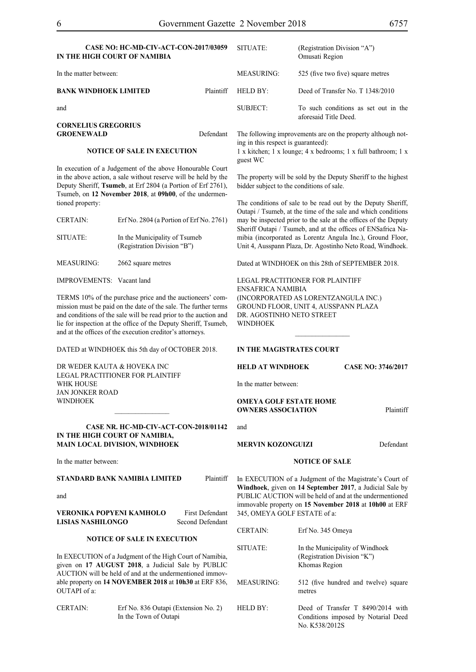## **CASE NO: HC-MD-CIV-ACT-CON-2017/03059**

| IN THE HIGH COURT OF NAMIBIA                    |           |            | Omusati Region                                                |
|-------------------------------------------------|-----------|------------|---------------------------------------------------------------|
| In the matter between:                          |           | MEASURING: | 525 (five two five) square metres                             |
| <b>BANK WINDHOEK LIMITED</b>                    | Plaintiff | HELD BY:   | Deed of Transfer No. T 1348/2010                              |
| and                                             |           | SUBJECT:   | To such conditions as set out in the<br>aforesaid Title Deed. |
| <b>CORNELIUS GREGORIUS</b><br><b>GROENEWALD</b> | Defendant |            | The following improvements are on the property although no    |

#### **NOTICE OF SALE IN EXECUTION**

In execution of a Judgement of the above Honourable Court in the above action, a sale without reserve will be held by the Deputy Sheriff, **Tsumeb**, at Erf 2804 (a Portion of Erf 2761), Tsumeb, on **12 November 2018**, at **09h00**, of the undermentioned property:

| Erf No. 2804 (a Portion of Erf No. 2761)                     |
|--------------------------------------------------------------|
| In the Municipality of Tsumeb<br>(Registration Division "B") |
| 2662 square metres                                           |
|                                                              |

IMPROVEMENTS: Vacant land

TERMS 10% of the purchase price and the auctioneers' commission must be paid on the date of the sale. The further terms and conditions of the sale will be read prior to the auction and lie for inspection at the office of the Deputy Sheriff, Tsumeb, and at the offices of the execution creditor's attorneys.

DATED at WINDHOEK this 5th day of OCTOBER 2018.

DR WEDER KAUTA & HOVEKA INC Legal Practitioner for Plaintiff WHK HOUSE Jan Jonker Road **WINDHOEK** 

#### **Case Nr. HC-MD-CIV-ACT-CON-2018/01142 IN THE HIGH COURT OF NAMIBIA, MAIN LOCAL DIVISION, WINDHOEK**

 $\frac{1}{2}$ 

In the matter between:

#### **STANDARD BANK NAMIBIA LIMITED** Plaintiff

and

| VERONIKA POPYENI KAMHOLO | <b>First Defendant</b> |
|--------------------------|------------------------|
| <b>LISIAS NASHILONGO</b> | Second Defendant       |

#### **NOTICE OF SALE IN EXECUTION**

In EXECUTION of a Judgment of the High Court of Namibia, given on **17 AUGUST 2018**, a Judicial Sale by PUBLIC AUCTION will be held of and at the undermentioned immovable property on **14 NOVEMBER 2018** at **10h30** at ERF 836, OUTAPI of a:

| <b>CERTAIN:</b> | Erf No. 836 Outapi (Extension No. 2) |
|-----------------|--------------------------------------|
|                 | In the Town of Outapi                |

| SUBJECT: | To such conditions as set out in the<br>aforesaid Title Deed. |
|----------|---------------------------------------------------------------|
|          | The following improvements are on the property although not-  |

SITUATE: (Registration Division "A")

ing in this respect is guaranteed):

1 x kitchen; 1 x lounge; 4 x bedrooms; 1 x full bathroom; 1 x guest WC

The property will be sold by the Deputy Sheriff to the highest bidder subject to the conditions of sale.

The conditions of sale to be read out by the Deputy Sheriff, Outapi / Tsumeb, at the time of the sale and which conditions may be inspected prior to the sale at the offices of the Deputy Sheriff Outapi / Tsumeb, and at the offices of ENSafrica Namibia (incorporated as Lorentz Angula Inc.), Ground Floor, Unit 4, Ausspann Plaza, Dr. Agostinho Neto Road, Windhoek.

Dated at WINDHOEK on this 28th of SEPTEMBER 2018.

 $\frac{1}{2}$ 

Legal Practitioner for Plaintiff ENSafrica Namibia (incorporated as LorentzAngula Inc.) Ground Floor, Unit 4, Ausspann Plaza DR. AGOSTINHO NETO STREET WINDHOEK

#### **IN THE MAGISTRATES COURT**

#### **HELD AT WINDHOEK Case No: 3746/2017**

In the matter between:

#### **OMEYA GOLF ESTATE HOME OWNERS ASSOCIATION** Plaintiff

and

#### **MERVIN KOZONGUIZI** Defendant

#### **NOTICE OF SALE**

In EXECUTION of a Judgment of the Magistrate's Court of **Windhoek**, given on **14 September 2017**, a Judicial Sale by PUBLIC AUCTION will be held of and at the undermentioned immovable property on **15 November 2018** at **10h00** at ERF 345, OMEYA GOLF ESTATE of a:

| <b>CERTAIN:</b> | Erf No. 345 Omeya                                                               |
|-----------------|---------------------------------------------------------------------------------|
| SITUATE:        | In the Municipality of Windhoek<br>(Registration Division "K")<br>Khomas Region |

MEASURING: 512 (five hundred and twelve) square metres

HELD BY: Deed of Transfer T 8490/2014 with Conditions imposed by Notarial Deed No. K538/2012S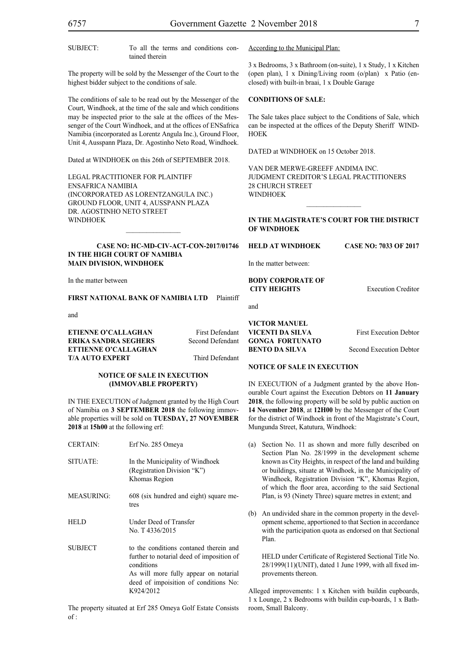SUBJECT: To all the terms and conditions con-

tained therein

The property will be sold by the Messenger of the Court to the highest bidder subject to the conditions of sale.

The conditions of sale to be read out by the Messenger of the Court, Windhoek, at the time of the sale and which conditions may be inspected prior to the sale at the offices of the Messenger of the Court Windhoek, and at the offices of ENSafrica Namibia (incorporated as Lorentz Angula Inc.), Ground Floor, Unit 4, Ausspann Plaza, Dr. Agostinho Neto Road, Windhoek.

Dated at WINDHOEK on this 26th of SEPTEMBER 2018.

Legal Practitioner for Plaintiff ENSafrica Namibia (incorporated as LorentzAngula Inc.) Ground Floor, Unit 4, Ausspann Plaza DR. AGOSTINHO NETO STREET WINDHOEK

#### **CASE NO: HC-MD-CIV-ACT-CON-2017/01746 IN THE HIGH COURT OF NAMIBIA MAIN DIVISION, WINDHOEK**

 $\mathcal{L}=\mathcal{L}^{\mathcal{L}}$ 

In the matter between

#### **FIRST NATIONAL BANK OF NAMIBIA LTD** Plaintiff

and

**ETIENNE O'CALLAGHAN** First Defendant **ERIKA SANDRA SEGHERS** Second Defendant **ETTIENNE O'CALLAGHAN T/A AUTO EXPERT** Third Defendant

#### **NOTICE OF SALE IN EXECUTION (IMMOVABLE PROPERTY)**

IN THE EXECUTION of Judgment granted by the High Court of Namibia on **3 SEPTEMBER 2018** the following immovable properties will be sold on **TUESDAY, 27 NOVEMBER 2018** at **15h00** at the following erf:

| <b>CERTAIN:</b>   | Erf No. 285 Omeya                                                                                                                                                                                |
|-------------------|--------------------------------------------------------------------------------------------------------------------------------------------------------------------------------------------------|
| SITUATE:          | In the Municipality of Windhoek<br>(Registration Division "K")<br>Khomas Region                                                                                                                  |
| <b>MEASURING:</b> | 608 (six hundred and eight) square me-<br>tres                                                                                                                                                   |
| <b>HELD</b>       | Under Deed of Transfer<br>No. T 4336/2015                                                                                                                                                        |
| <b>SUBJECT</b>    | to the conditions contaned therein and<br>further to notarial deed of imposition of<br>conditions<br>As will more fully appear on notarial<br>deed of impoisition of conditions No:<br>K924/2012 |

The property situated at Erf 285 Omeya Golf Estate Consists of :

According to the Municipal Plan:

3 x Bedrooms, 3 x Bathroom (on-suite), 1 x Study, 1 x Kitchen (open plan), 1 x Dining/Living room (o/plan) x Patio (enclosed) with built-in braai, 1 x Double Garage

#### **CONDITIONS OF SALE:**

The Sale takes place subject to the Conditions of Sale, which can be inspected at the offices of the Deputy Sheriff WIND-**HOEK** 

DATED at WINDHOEK on 15 October 2018.

VAN DER MERWE-GREEFF ANDIMA INC. JUDGMENT CREDITOR'S LEGAL PRACTITIONERS 28 CHURCH STREET WINDHOEK

#### **IN THE MAGISTRATE'S COURT FOR THE DISTRICT OF WINDHOEK**

 $\frac{1}{2}$ 

**HELD AT WINDHOEK CASE NO: 7033 OF 2017**

In the matter between:

**BODY CORPORATE OF CITY HEIGHTS** Execution Creditor

and

**VICTOR MANUEL VICENTI DA SILVA** First Execution Debtor **GONGA FORTUNATO BENTO DA SILVA** Second Execution Debtor

#### **NOTICE OF SALE IN EXECUTION**

IN EXECUTION of a Judgment granted by the above Honourable Court against the Execution Debtors on **11 January 2018**, the following property will be sold by public auction on **14 November 2018**, at **12H00** by the Messenger of the Court for the district of Windhoek in front of the Magistrate's Court, Mungunda Street, Katutura, Windhoek:

- (a) Section No. 11 as shown and more fully described on Section Plan No. 28/1999 in the development scheme known as City Heights, in respect of the land and building or buildings, situate at Windhoek, in the Municipality of Windhoek, Registration Division "K", Khomas Region, of which the floor area, according to the said Sectional Plan, is 93 (Ninety Three) square metres in extent; and
- (b) An undivided share in the common property in the development scheme, apportioned to that Section in accordance with the participation quota as endorsed on that Sectional Plan.

HELD under Certificate of Registered Sectional Title No. 28/1999(11)(UNIT), dated 1 June 1999, with all fixed improvements thereon.

Alleged improvements: 1 x Kitchen with buildin cupboards, 1 x Lounge, 2 x Bedrooms with buildin cup-boards, 1 x Bathroom, Small Balcony.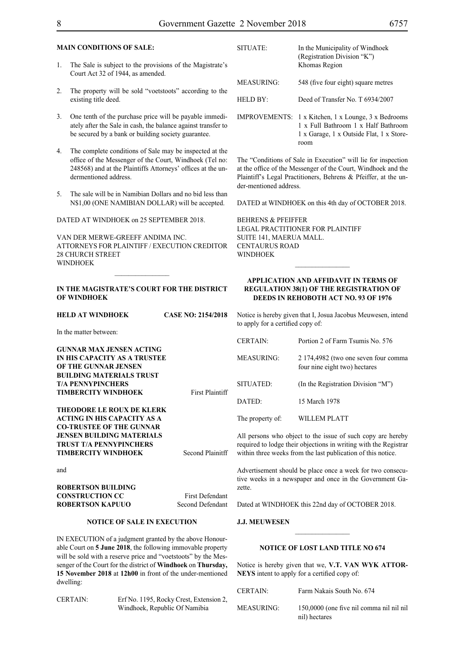#### **MAIN CONDITIONS OF SALE:**

- 1. The Sale is subject to the provisions of the Magistrate's Court Act 32 of 1944, as amended.
- 2. The property will be sold "voetstoots" according to the existing title deed.
- 3. One tenth of the purchase price will be payable immediately after the Sale in cash, the balance against transfer to be secured by a bank or building society guarantee.
- 4. The complete conditions of Sale may be inspected at the office of the Messenger of the Court, Windhoek (Tel no: 248568) and at the Plaintiffs Attorneys' offices at the undermentioned address.
- 5. The sale will be in Namibian Dollars and no bid less than N\$1,00 (ONE NAMIBIAN DOLLAR) will be accepted.

DATED AT WINDHOEK on 25 SEPTEMBER 2018.

VAN DER MERWE-GREEFF ANDIMA INC. ATTORNEYS FOR Plaintiff / EXECUTION CREDITOR 28 CHURCH STREET **WINDHOEK** 

#### **IN THE MAGISTRATE'S COURT FOR THE DISTRICT OF WINDHOEK**

 $\frac{1}{2}$ 

| <b>HELD AT WINDHOEK</b>                                                                               | <b>CASE NO: 2154/2018</b> | Notice is hereby given that I.<br>to apply for a certified copy |                   |
|-------------------------------------------------------------------------------------------------------|---------------------------|-----------------------------------------------------------------|-------------------|
| In the matter between:                                                                                |                           |                                                                 |                   |
| <b>GUNNAR MAX JENSEN ACTING</b>                                                                       |                           | <b>CERTAIN:</b>                                                 | Portio            |
| <b>IN HIS CAPACITY AS A TRUSTEE</b><br>OF THE GUNNAR JENSEN                                           |                           | <b>MEASURING:</b>                                               | 2 1 7 4<br>four n |
| <b>BUILDING MATERIALS TRUST</b>                                                                       |                           |                                                                 |                   |
| <b>T/A PENNYPINCHERS</b><br><b>TIMBERCITY WINDHOEK</b>                                                | <b>First Plaintiff</b>    | SITUATED:                                                       | (In the           |
|                                                                                                       |                           | DATED:                                                          | 15 <sub>Ma</sub>  |
| <b>THEODORE LE ROUX DE KLERK</b><br><b>ACTING IN HIS CAPACITY AS A</b>                                |                           | The property of:                                                | WILL              |
| <b>CO-TRUSTEE OF THE GUNNAR</b><br><b>JENSEN BUILDING MATERIALS</b><br><b>TRUST T/A PENNYPINCHERS</b> |                           | All persons who object to t                                     |                   |
| <b>TIMBERCITY WINDHOEK</b>                                                                            | Second Plainitff          | required to lodge their objec<br>within three weeks from the    |                   |
| . 1                                                                                                   |                           |                                                                 |                   |

and

**ROBERTSON BUILDING CONSTRUCTION CC** First Defendant **ROBERTSON KAPUUO** Second Defendant

#### **NOTICE OF SALE IN EXECUTION**

IN EXECUTION of a judgment granted by the above Honourable Court on **5 June 2018**, the following immovable property will be sold with a reserve price and "voetstoots" by the Messenger of the Court for the district of **Windhoek** on **Thursday, 15 November 2018** at **12h00** in front of the under-mentioned dwelling:

CERTAIN: Erf No. 1195, Rocky Crest, Extension 2, Windhoek, Republic Of Namibia

| SITUATE:          | In the Municipality of Windhoek<br>(Registration Division "K")<br>Khomas Region                          |
|-------------------|----------------------------------------------------------------------------------------------------------|
| <b>MEASURING:</b> | 548 (five four eight) square metres                                                                      |
| HELD BY:          | Deed of Transfer No. T 6934/2007                                                                         |
|                   | IMPROVEMENTS: 1 x Kitchen, 1 x Lounge, 3 x Bedrooms<br>$1 \times$ Eull Rathroom $1 \times$ Half Rathroom |

1 x Full Bathroom 1 x Half Bathroom 1 x Garage, 1 x Outside Flat, 1 x Storeroom

The "Conditions of Sale in Execution" will lie for inspection at the office of the Messenger of the Court, Windhoek and the Plaintiff's Legal Practitioners, Behrens & Pfeiffer, at the under-mentioned address.

DATED at WINDHOEK on this 4th day of OCTOBER 2018.

BEHRENS & PFEIFFER LEGAL PRACTITIONER FOR Plaintiff SUITE 141, MAERUA MALL. CENTAURUS ROAD WINDHOEK

#### **APPLICATION AND AFFIDAVIT IN TERMS OF REGULATION 38(1) OF THE REGISTRATION OF DEEDS IN REHOBOTH ACT NO. 93 OF 1976**

 $\frac{1}{2}$ 

Josua Jacobus Meuwesen, intend to apply for a certified copy of:

| <b>CERTAIN:</b>   | Portion 2 of Farm Tsumis No. 576                                      |
|-------------------|-----------------------------------------------------------------------|
| <b>MEASURING:</b> | 2 174,4982 (two one seven four comma<br>four nine eight two) hectares |
| SITUATED:         | (In the Registration Division "M")                                    |
| DATED:            | 15 March 1978                                                         |
| The property of   | WILLEM PLATT                                                          |

he issue of such copy are hereby tions in writing with the Registrar last publication of this notice.

Advertisement should be place once a week for two consecutive weeks in a newspaper and once in the Government Gazette.

Dated at WINDHOEK this 22nd day of OCTOBER 2018.

#### **J.J. MEUWESEN**

#### **NOTICE OF LOST LAND TITLE NO 674**

Notice is hereby given that we, **V.T. VAN WYK ATTOR-NEYS** intent to apply for a certified copy of:

| <b>CERTAIN:</b>   | Farm Nakais South No. 674                                 |
|-------------------|-----------------------------------------------------------|
| <b>MEASURING:</b> | 150,0000 (one five nil comma nil nil nil<br>nil) hectares |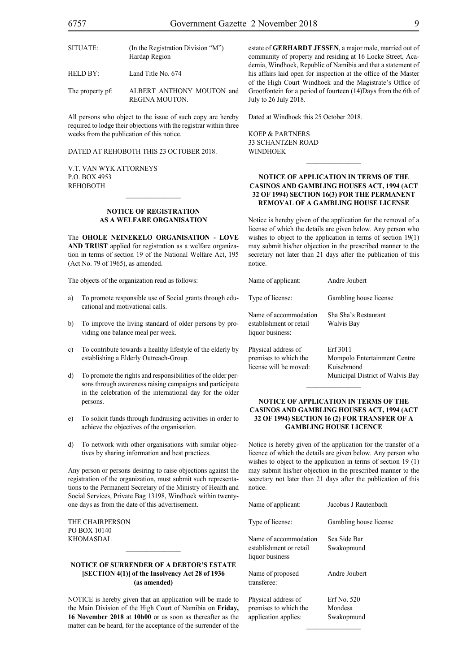| SITUATE: | (In the Registration Division "M")<br>Hardap Region |
|----------|-----------------------------------------------------|
| HELD BY: | Land Title No. 674                                  |

The property pf: ALBERT ANTHONY MOUTON and REGINA MOUTON.

All persons who object to the issue of such copy are hereby required to lodge their objections with the registrar within three weeks from the publication of this notice.

DATED AT REHOBOTH THIS 23 OCTOBER 2018.

V.T. van Wyk Attorneys P.O. Box 4953 **REHOBOTH** 

#### **NOTICE OF REGISTRATION AS A WELFARE ORGANISATION**

 $\mathcal{L}=\mathcal{L}^{\mathcal{L}}$ 

The **OHOLE NEINEKELO ORGANISATION - LOVE AND TRUST** applied for registration as a welfare organization in terms of section 19 of the National Welfare Act, 195 (Act No. 79 of 1965), as amended.

The objects of the organization read as follows:

- a) To promote responsible use of Social grants through educational and motivational calls.
- b) To improve the living standard of older persons by providing one balance meal per week.
- c) To contribute towards a healthy lifestyle of the elderly by establishing a Elderly Outreach-Group.
- d) To promote the rights and responsibilities of the older persons through awareness raising campaigns and participate in the celebration of the international day for the older persons.
- e) To solicit funds through fundraising activities in order to achieve the objectives of the organisation.
- d) To network with other organisations with similar objectives by sharing information and best practices.

Any person or persons desiring to raise objections against the registration of the organization, must submit such representations to the Permanent Secretary of the Ministry of Health and Social Services, Private Bag 13198, Windhoek within twentyone days as from the date of this advertisement.

The Chairperson PO Box 10140 **KHOMASDAL** 

#### **NOTICE OF SURRENDER OF A DEBTOR'S ESTATE [SECTION 4(1)] of the Insolvency Act 28 of 1936 (as amended)**

NOTICE is hereby given that an application will be made to the Main Division of the High Court of Namibia on **Friday, 16 November 2018** at **10h00** or as soon as thereafter as the matter can be heard, for the acceptance of the surrender of the estate of **GERHARDT JESSEN**, a major male, married out of community of property and residing at 16 Locke Street, Academia, Windhoek, Republic of Namibia and that a statement of his affairs laid open for inspection at the office of the Master of the High Court Windhoek and the Magistrate's Office of Grootfontein for a period of fourteen (14)Days from the 6th of July to 26 July 2018.

Dated at Windhoek this 25 October 2018.

KOEP & PARTNERS 33 SCHANTZEN ROAD WINDHOEK

#### **NOTICE OF APPLICATION IN TERMS OF THE CASINOS AND GAMBLING HOUSES ACT, 1994 (ACT 32 OF 1994) SECTION 16(3) FOR THE PERMANENT REMOVAL OF A GAMBLING HOUSE LICENSE**

 $\overline{\phantom{a}}$  ,  $\overline{\phantom{a}}$  ,  $\overline{\phantom{a}}$  ,  $\overline{\phantom{a}}$  ,  $\overline{\phantom{a}}$  ,  $\overline{\phantom{a}}$  ,  $\overline{\phantom{a}}$  ,  $\overline{\phantom{a}}$  ,  $\overline{\phantom{a}}$  ,  $\overline{\phantom{a}}$  ,  $\overline{\phantom{a}}$  ,  $\overline{\phantom{a}}$  ,  $\overline{\phantom{a}}$  ,  $\overline{\phantom{a}}$  ,  $\overline{\phantom{a}}$  ,  $\overline{\phantom{a}}$ 

Notice is hereby given of the application for the removal of a license of which the details are given below. Any person who wishes to object to the application in terms of section 19(1) may submit his/her objection in the prescribed manner to the secretary not later than 21 days after the publication of this notice.

| Name of applicant:                                                     | Andre Joubert                                                                              |
|------------------------------------------------------------------------|--------------------------------------------------------------------------------------------|
| Type of license:                                                       | Gambling house license                                                                     |
| Name of accommodation<br>establishment or retail<br>liquor business:   | Sha Sha's Restaurant<br>Walvis Bay                                                         |
| Physical address of<br>premises to which the<br>license will be moved: | Erf 3011<br>Mompolo Entertainment Centre<br>Kuisebmond<br>Municipal District of Walvis Bay |

#### **NOTICE OF APPLICATION IN TERMS OF THE CASINOS AND GAMBLING HOUSES ACT, 1994 (ACT 32 OF 1994) SECTION 16 (2) FOR TRANSFER OF A GAMBLING HOUSE LICENCE**

 $\frac{1}{2}$ 

Notice is hereby given of the application for the transfer of a licence of which the details are given below. Any person who wishes to object to the application in terms of section 19 (1) may submit his/her objection in the prescribed manner to the secretary not later than 21 days after the publication of this notice.

| Name of applicant:                                                   | Jacobus J Rautenbach                 |
|----------------------------------------------------------------------|--------------------------------------|
| Type of license:                                                     | Gambling house license               |
| Name of accommodation<br>establishment or retail<br>liquor business  | Sea Side Bar<br>Swakopmund           |
| Name of proposed<br>transferee:                                      | Andre Joubert                        |
| Physical address of<br>premises to which the<br>application applies: | Erf No. 520<br>Mondesa<br>Swakopmund |

 $\frac{1}{2}$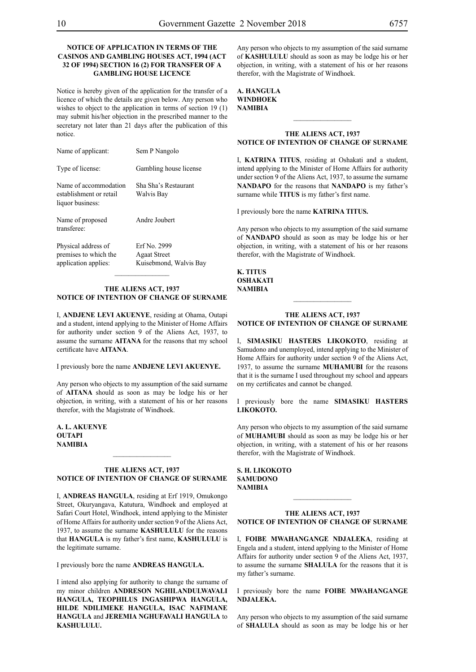#### **NOTICE OF APPLICATION IN TERMS OF THE CASINOS AND GAMBLING HOUSES ACT, 1994 (ACT 32 OF 1994) SECTION 16 (2) FOR TRANSFER OF A GAMBLING HOUSE LICENCE**

Notice is hereby given of the application for the transfer of a licence of which the details are given below. Any person who wishes to object to the application in terms of section 19 (1) may submit his/her objection in the prescribed manner to the secretary not later than 21 days after the publication of this notice.

| Name of applicant:                                                   | Sem P Nangolo                                                 |
|----------------------------------------------------------------------|---------------------------------------------------------------|
| Type of license:                                                     | Gambling house license                                        |
| Name of accommodation<br>establishment or retail<br>liquor business: | Sha Sha's Restaurant<br>Walvis Bay                            |
| Name of proposed<br>transferee:                                      | Andre Joubert                                                 |
| Physical address of<br>premises to which the<br>application applies: | Erf No. 2999<br><b>Agaat Street</b><br>Kuisebmond, Walvis Bay |

#### **THE ALIENS ACT, 1937 NOTICE OF INTENTION OF CHANGE OF SURNAME**

 $\frac{1}{2}$ 

I, **andjene levI akuenye**, residing at Ohama, Outapi and a student, intend applying to the Minister of Home Affairs for authority under section 9 of the Aliens Act, 1937, to assume the surname **AITANA** for the reasons that my school certificate have **aitana**.

I previously bore the name **andjene levI akuenye.**

Any person who objects to my assumption of the said surname of **aitana** should as soon as may be lodge his or her objection, in writing, with a statement of his or her reasons therefor, with the Magistrate of Windhoek.

**a. l. akuenye OUTAPI NAMIBIA**

#### **THE ALIENS ACT, 1937 NOTICE OF INTENTION OF CHANGE OF SURNAME**

 $\frac{1}{2}$ 

I, **andreas hangula**, residing at Erf 1919, Omukongo Street, Okuryangava, Katutura, Windhoek and employed at Safari Court Hotel, Windhoek, intend applying to the Minister of Home Affairs for authority under section 9 of the Aliens Act, 1937, to assume the surname **KASHULULU** for the reasons that **hangula** is my father's first name, **KASHULULU** is the legitimate surname.

I previously bore the name **ANDREAS HANGULA.** 

I intend also applying for authority to change the surname of my minor children **ANDRESON NGHILANDULWAVALI HANGULA, TEOPHILUS INGASHIPWA HANGULA, HILDE NDILIMEKE HANGULA, ISAC NAFIMANE HANGULA** and **JEREMIA NGHUFAVALI HANGULA** to **KASHULULU.**

Any person who objects to my assumption of the said surname of **KASHULULU** should as soon as may be lodge his or her objection, in writing, with a statement of his or her reasons therefor, with the Magistrate of Windhoek.

#### **a. hangula windhoek NAMIBIA**

#### **THE ALIENS ACT, 1937 NOTICE OF INTENTION OF CHANGE OF SURNAME**

 $\frac{1}{2}$ 

I, **KATRINA TITUS**, residing at Oshakati and a student, intend applying to the Minister of Home Affairs for authority under section 9 of the Aliens Act, 1937, to assume the surname **NANDAPO** for the reasons that **NANDAPO** is my father's surname while **TITUS** is my father's first name.

I previously bore the name **KATRINA TITUS.** 

Any person who objects to my assumption of the said surname of **nandapo** should as soon as may be lodge his or her objection, in writing, with a statement of his or her reasons therefor, with the Magistrate of Windhoek.

**k. titus oshakati NAMIBIA**

#### **THE ALIENS ACT, 1937 NOTICE OF INTENTION OF CHANGE OF SURNAME**

I, **simasiku hasters likokoto**, residing at Samudono and unemployed, intend applying to the Minister of Home Affairs for authority under section 9 of the Aliens Act, 1937, to assume the surname **MUHAMUBI** for the reasons that it is the surname I used throughout my school and appears on my certificates and cannot be changed.

I previously bore the name **simasiku hasters likokoto.**

Any person who objects to my assumption of the said surname of **muhamubi** should as soon as may be lodge his or her objection, in writing, with a statement of his or her reasons therefor, with the Magistrate of Windhoek.

**s. h. likokoto SAMUDONO NAMIBIA**

#### **THE ALIENS ACT, 1937 NOTICE OF INTENTION OF CHANGE OF SURNAME**

 $\frac{1}{2}$ 

I, **foibe mwahangange ndjaleka**, residing at Engela and a student, intend applying to the Minister of Home Affairs for authority under section 9 of the Aliens Act, 1937, to assume the surname **SHALULA** for the reasons that it is my father's surname.

I previously bore the name **foibe mwahangange ndjaleka.**

Any person who objects to my assumption of the said surname of **shalula** should as soon as may be lodge his or her